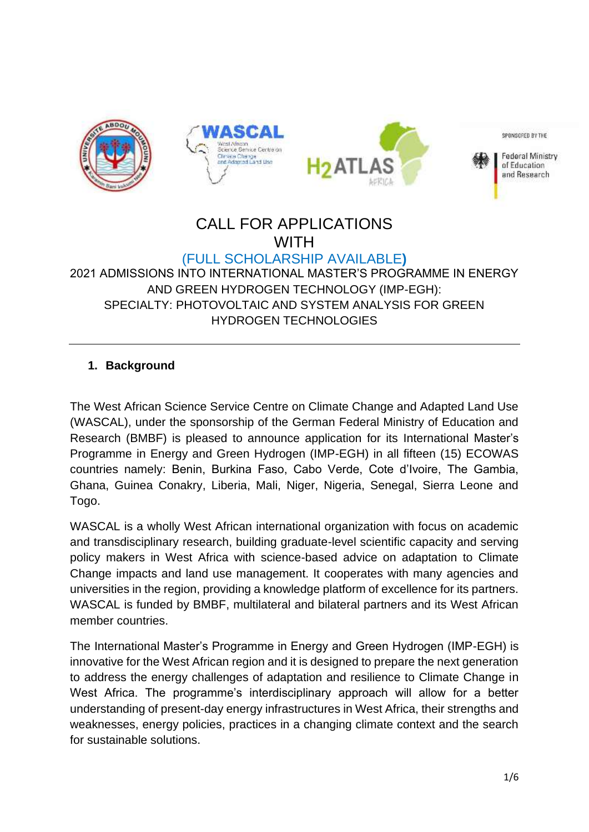

# CALL FOR APPLICATIONS **WITH**

### (FULL SCHOLARSHIP AVAILABLE**)** 2021 ADMISSIONS INTO INTERNATIONAL MASTER'S PROGRAMME IN ENERGY AND GREEN HYDROGEN TECHNOLOGY (IMP-EGH): SPECIALTY: PHOTOVOLTAIC AND SYSTEM ANALYSIS FOR GREEN HYDROGEN TECHNOLOGIES

## **1. Background**

The West African Science Service Centre on Climate Change and Adapted Land Use (WASCAL), under the sponsorship of the German Federal Ministry of Education and Research (BMBF) is pleased to announce application for its International Master's Programme in Energy and Green Hydrogen (IMP-EGH) in all fifteen (15) ECOWAS countries namely: Benin, Burkina Faso, Cabo Verde, Cote d'Ivoire, The Gambia, Ghana, Guinea Conakry, Liberia, Mali, Niger, Nigeria, Senegal, Sierra Leone and Togo.

WASCAL is a wholly West African international organization with focus on academic and transdisciplinary research, building graduate-level scientific capacity and serving policy makers in West Africa with science-based advice on adaptation to Climate Change impacts and land use management. It cooperates with many agencies and universities in the region, providing a knowledge platform of excellence for its partners. WASCAL is funded by BMBF, multilateral and bilateral partners and its West African member countries.

The International Master's Programme in Energy and Green Hydrogen (IMP-EGH) is innovative for the West African region and it is designed to prepare the next generation to address the energy challenges of adaptation and resilience to Climate Change in West Africa. The programme's interdisciplinary approach will allow for a better understanding of present-day energy infrastructures in West Africa, their strengths and weaknesses, energy policies, practices in a changing climate context and the search for sustainable solutions.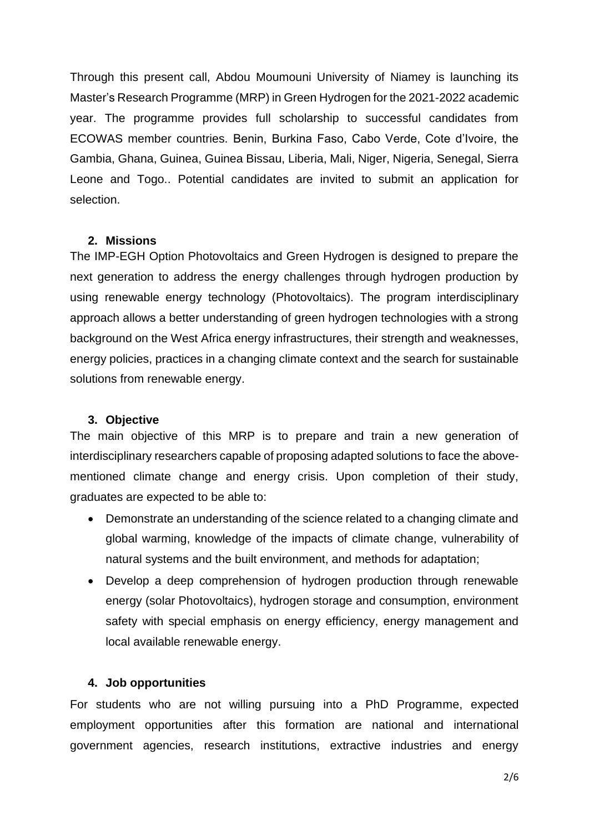Through this present call, Abdou Moumouni University of Niamey is launching its Master's Research Programme (MRP) in Green Hydrogen for the 2021-2022 academic year. The programme provides full scholarship to successful candidates from ECOWAS member countries. Benin, Burkina Faso, Cabo Verde, Cote d'Ivoire, the Gambia, Ghana, Guinea, Guinea Bissau, Liberia, Mali, Niger, Nigeria, Senegal, Sierra Leone and Togo.. Potential candidates are invited to submit an application for selection.

#### **2. Missions**

The IMP-EGH Option Photovoltaics and Green Hydrogen is designed to prepare the next generation to address the energy challenges through hydrogen production by using renewable energy technology (Photovoltaics). The program interdisciplinary approach allows a better understanding of green hydrogen technologies with a strong background on the West Africa energy infrastructures, their strength and weaknesses, energy policies, practices in a changing climate context and the search for sustainable solutions from renewable energy.

#### **3. Objective**

The main objective of this MRP is to prepare and train a new generation of interdisciplinary researchers capable of proposing adapted solutions to face the abovementioned climate change and energy crisis. Upon completion of their study, graduates are expected to be able to:

- Demonstrate an understanding of the science related to a changing climate and global warming, knowledge of the impacts of climate change, vulnerability of natural systems and the built environment, and methods for adaptation;
- Develop a deep comprehension of hydrogen production through renewable energy (solar Photovoltaics), hydrogen storage and consumption, environment safety with special emphasis on energy efficiency, energy management and local available renewable energy.

#### **4. Job opportunities**

For students who are not willing pursuing into a PhD Programme, expected employment opportunities after this formation are national and international government agencies, research institutions, extractive industries and energy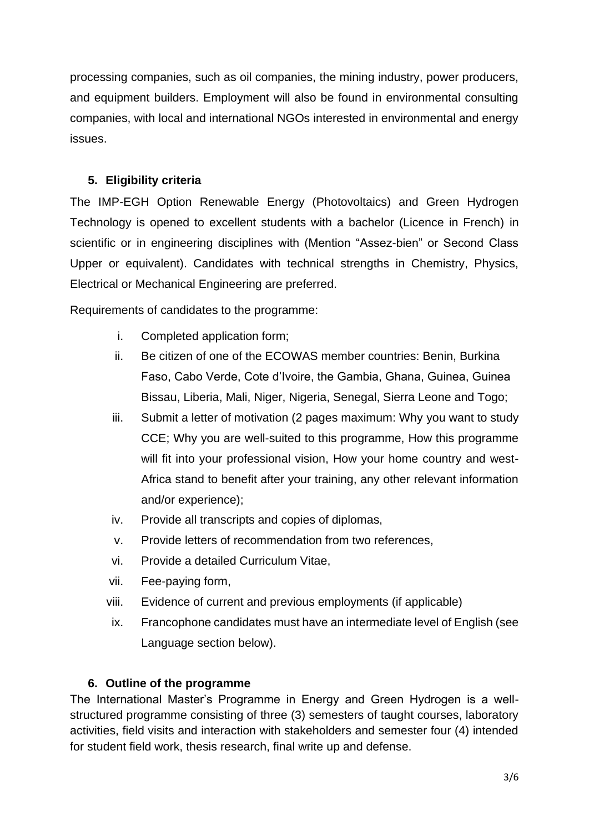processing companies, such as oil companies, the mining industry, power producers, and equipment builders. Employment will also be found in environmental consulting companies, with local and international NGOs interested in environmental and energy issues.

### **5. Eligibility criteria**

The IMP-EGH Option Renewable Energy (Photovoltaics) and Green Hydrogen Technology is opened to excellent students with a bachelor (Licence in French) in scientific or in engineering disciplines with (Mention "Assez-bien" or Second Class Upper or equivalent). Candidates with technical strengths in Chemistry, Physics, Electrical or Mechanical Engineering are preferred.

Requirements of candidates to the programme:

- i. Completed application form;
- ii. Be citizen of one of the ECOWAS member countries: Benin, Burkina Faso, Cabo Verde, Cote d'Ivoire, the Gambia, Ghana, Guinea, Guinea Bissau, Liberia, Mali, Niger, Nigeria, Senegal, Sierra Leone and Togo;
- iii. Submit a letter of motivation (2 pages maximum: Why you want to study CCE; Why you are well-suited to this programme, How this programme will fit into your professional vision, How your home country and west-Africa stand to benefit after your training, any other relevant information and/or experience);
- iv. Provide all transcripts and copies of diplomas,
- v. Provide letters of recommendation from two references,
- vi. Provide a detailed Curriculum Vitae,
- vii. Fee-paying form,
- viii. Evidence of current and previous employments (if applicable)
- ix. Francophone candidates must have an intermediate level of English (see Language section below).

# **6. Outline of the programme**

The International Master's Programme in Energy and Green Hydrogen is a wellstructured programme consisting of three (3) semesters of taught courses, laboratory activities, field visits and interaction with stakeholders and semester four (4) intended for student field work, thesis research, final write up and defense.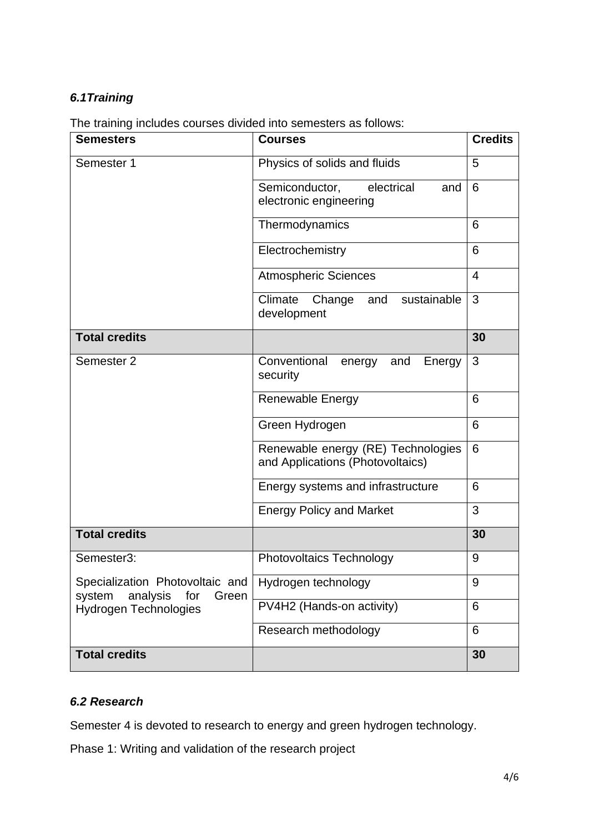# *6.1Training*

|  |  | The training includes courses divided into semesters as follows: |
|--|--|------------------------------------------------------------------|
|--|--|------------------------------------------------------------------|

| <b>Semesters</b>                                                      | <b>Courses</b>                                                         | <b>Credits</b> |
|-----------------------------------------------------------------------|------------------------------------------------------------------------|----------------|
| Semester 1                                                            | Physics of solids and fluids                                           | 5              |
|                                                                       | Semiconductor,<br>electrical<br>and<br>electronic engineering          | 6              |
|                                                                       | Thermodynamics                                                         | 6              |
|                                                                       | Electrochemistry                                                       | 6              |
|                                                                       | <b>Atmospheric Sciences</b>                                            | $\overline{4}$ |
|                                                                       | sustainable<br>Climate<br>Change<br>and<br>development                 | 3              |
| <b>Total credits</b>                                                  |                                                                        | 30             |
| Semester 2                                                            | Conventional<br>energy<br>and<br>Energy<br>security                    | 3              |
|                                                                       | <b>Renewable Energy</b>                                                | 6              |
|                                                                       | Green Hydrogen                                                         | 6              |
|                                                                       | Renewable energy (RE) Technologies<br>and Applications (Photovoltaics) | 6              |
|                                                                       | Energy systems and infrastructure                                      | 6              |
|                                                                       | <b>Energy Policy and Market</b>                                        | 3              |
| <b>Total credits</b>                                                  |                                                                        | 30             |
| Semester3:                                                            | <b>Photovoltaics Technology</b>                                        | 9              |
| Specialization Photovoltaic and<br>analysis<br>Green<br>system<br>for | Hydrogen technology                                                    | 9              |
| <b>Hydrogen Technologies</b>                                          | PV4H2 (Hands-on activity)                                              | 6              |
|                                                                       | Research methodology                                                   | 6              |
| <b>Total credits</b>                                                  |                                                                        | 30             |

# *6.2 Research*

Semester 4 is devoted to research to energy and green hydrogen technology.

Phase 1: Writing and validation of the research project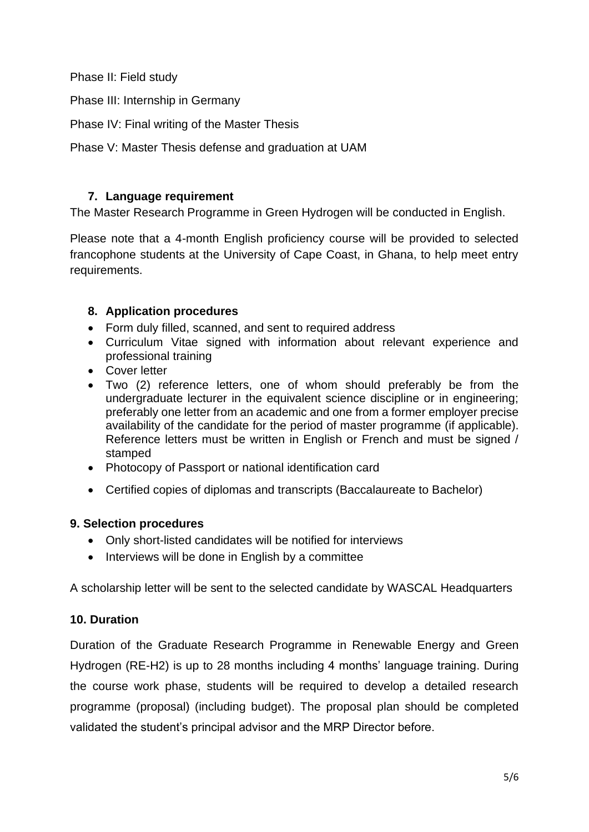Phase II: Field study

Phase III: Internship in Germany

Phase IV: Final writing of the Master Thesis

Phase V: Master Thesis defense and graduation at UAM

### **7. Language requirement**

The Master Research Programme in Green Hydrogen will be conducted in English.

Please note that a 4-month English proficiency course will be provided to selected francophone students at the University of Cape Coast, in Ghana, to help meet entry requirements.

### **8. Application procedures**

- Form duly filled, scanned, and sent to required address
- Curriculum Vitae signed with information about relevant experience and professional training
- Cover letter
- Two (2) reference letters, one of whom should preferably be from the undergraduate lecturer in the equivalent science discipline or in engineering; preferably one letter from an academic and one from a former employer precise availability of the candidate for the period of master programme (if applicable). Reference letters must be written in English or French and must be signed / stamped
- Photocopy of Passport or national identification card
- Certified copies of diplomas and transcripts (Baccalaureate to Bachelor)

### **9. Selection procedures**

- Only short-listed candidates will be notified for interviews
- Interviews will be done in English by a committee

A scholarship letter will be sent to the selected candidate by WASCAL Headquarters

### **10. Duration**

Duration of the Graduate Research Programme in Renewable Energy and Green Hydrogen (RE-H2) is up to 28 months including 4 months' language training. During the course work phase, students will be required to develop a detailed research programme (proposal) (including budget). The proposal plan should be completed validated the student's principal advisor and the MRP Director before.